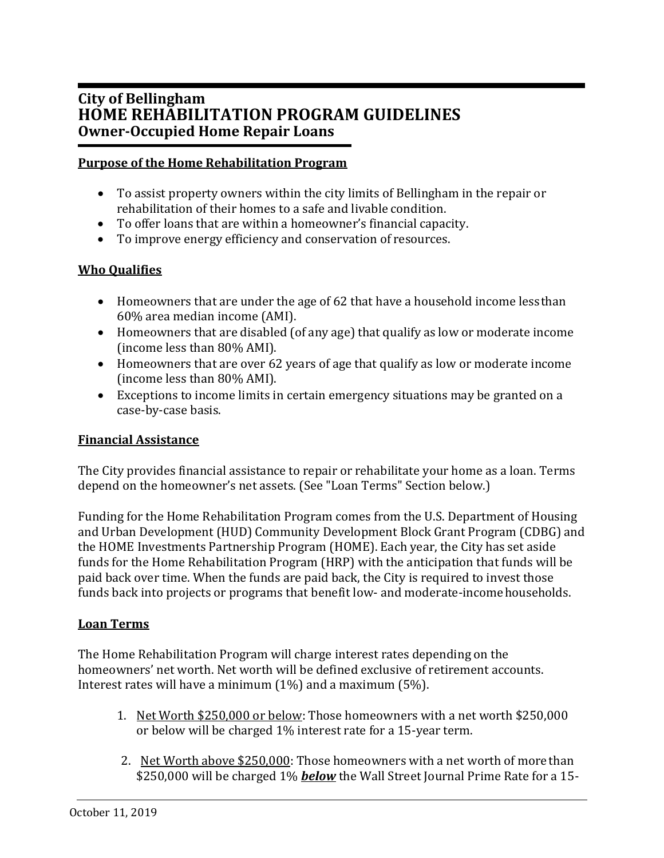# **City of Bellingham HOME REHABILITATION PROGRAM GUIDELINES Owner-Occupied Home Repair Loans**

## **Purpose of the Home Rehabilitation Program**

- To assist property owners within the city limits of Bellingham in the repair or rehabilitation of their homes to a safe and livable condition.
- To offer loans that are within a homeowner's financial capacity.
- To improve energy efficiency and conservation of resources.

## **Who Qualifies**

- Homeowners that are under the age of 62 that have a household income lessthan 60% area median income (AMI).
- Homeowners that are disabled (of any age) that qualify as low or moderate income (income less than 80% AMI).
- Homeowners that are over 62 years of age that qualify as low or moderate income (income less than 80% AMI).
- Exceptions to income limits in certain emergency situations may be granted on a case-by-case basis.

## **Financial Assistance**

The City provides financial assistance to repair or rehabilitate your home as a loan. Terms depend on the homeowner's net assets. (See "Loan Terms" Section below.)

Funding for the Home Rehabilitation Program comes from the U.S. Department of Housing and Urban Development (HUD) Community Development Block Grant Program (CDBG) and the HOME Investments Partnership Program (HOME). Each year, the City has set aside funds for the Home Rehabilitation Program (HRP) with the anticipation that funds will be paid back over time. When the funds are paid back, the City is required to invest those funds back into projects or programs that benefit low- and moderate-income households.

## **Loan Terms**

The Home Rehabilitation Program will charge interest rates depending on the homeowners' net worth. Net worth will be defined exclusive of retirement accounts. Interest rates will have a minimum (1%) and a maximum (5%).

- 1. Net Worth \$250,000 or below: Those homeowners with a net worth \$250,000 or below will be charged 1% interest rate for a 15-year term.
- 2. Net Worth above \$250,000: Those homeowners with a net worth of more than \$250,000 will be charged 1% *below* the Wall Street Journal Prime Rate for a 15-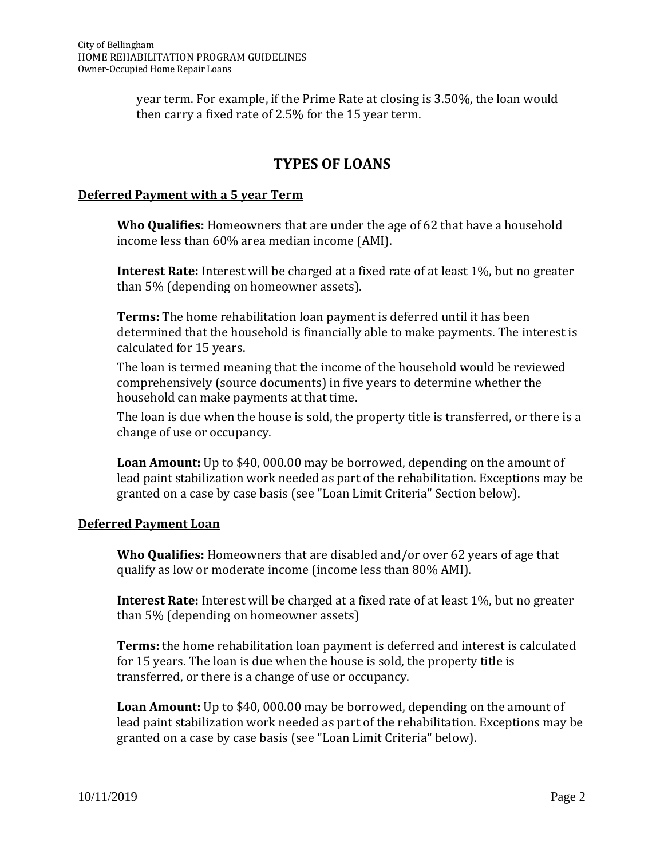year term. For example, if the Prime Rate at closing is 3.50%, the loan would then carry a fixed rate of 2.5% for the 15 year term.

# **TYPES OF LOANS**

## **Deferred Payment with a 5 year Term**

**Who Qualifies:** Homeowners that are under the age of 62 that have a household income less than 60% area median income (AMI).

**Interest Rate:** Interest will be charged at a fixed rate of at least 1%, but no greater than 5% (depending on homeowner assets).

**Terms:** The home rehabilitation loan payment is deferred until it has been determined that the household is financially able to make payments. The interest is calculated for 15 years.

The loan is termed meaning that **t**he income of the household would be reviewed comprehensively (source documents) in five years to determine whether the household can make payments at that time.

The loan is due when the house is sold, the property title is transferred, or there is a change of use or occupancy.

**Loan Amount:** Up to \$40, 000.00 may be borrowed, depending on the amount of lead paint stabilization work needed as part of the rehabilitation. Exceptions may be granted on a case by case basis (see "Loan Limit Criteria" Section below).

## **Deferred Payment Loan**

**Who Qualifies:** Homeowners that are disabled and/or over 62 years of age that qualify as low or moderate income (income less than 80% AMI).

**Interest Rate:** Interest will be charged at a fixed rate of at least 1%, but no greater than 5% (depending on homeowner assets)

**Terms:** the home rehabilitation loan payment is deferred and interest is calculated for 15 years. The loan is due when the house is sold, the property title is transferred, or there is a change of use or occupancy.

**Loan Amount:** Up to \$40, 000.00 may be borrowed, depending on the amount of lead paint stabilization work needed as part of the rehabilitation. Exceptions may be granted on a case by case basis (see "Loan Limit Criteria" below).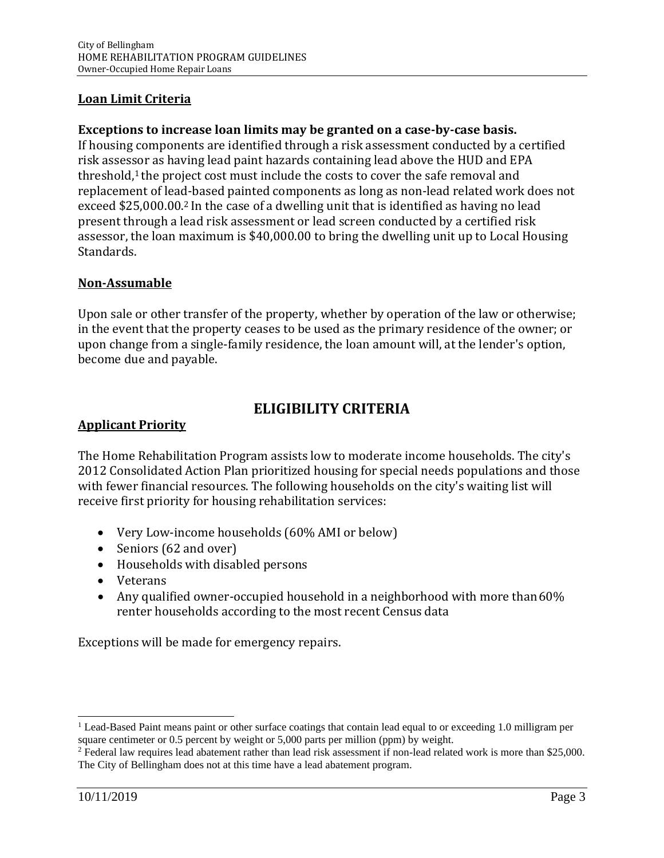## **Loan Limit Criteria**

## **Exceptions to increase loan limits may be granted on a case-by-case basis.**

If housing components are identified through a risk assessment conducted by a certified risk assessor as having lead paint hazards containing lead above the HUD and EPA threshold,<sup>1</sup> the project cost must include the costs to cover the safe removal and replacement of lead-based painted components as long as non-lead related work does not exceed \$25,000.00.2 In the case of a dwelling unit that is identified as having no lead present through a lead risk assessment or lead screen conducted by a certified risk assessor, the loan maximum is \$40,000.00 to bring the dwelling unit up to Local Housing Standards.

## **Non-Assumable**

Upon sale or other transfer of the property, whether by operation of the law or otherwise; in the event that the property ceases to be used as the primary residence of the owner; or upon change from a single-family residence, the loan amount will, at the lender's option, become due and payable.

# **ELIGIBILITY CRITERIA**

#### **Applicant Priority**

The Home Rehabilitation Program assists low to moderate income households. The city's 2012 Consolidated Action Plan prioritized housing for special needs populations and those with fewer financial resources. The following households on the city's waiting list will receive first priority for housing rehabilitation services:

- Very Low-income households (60% AMI or below)
- Seniors (62 and over)
- Households with disabled persons
- Veterans
- Any qualified owner-occupied household in a neighborhood with more than 60% renter households according to the most recent Census data

Exceptions will be made for emergency repairs.

<sup>&</sup>lt;sup>1</sup> Lead-Based Paint means paint or other surface coatings that contain lead equal to or exceeding 1.0 milligram per square centimeter or 0.5 percent by weight or 5,000 parts per million (ppm) by weight.

<sup>&</sup>lt;sup>2</sup> Federal law requires lead abatement rather than lead risk assessment if non-lead related work is more than \$25,000. The City of Bellingham does not at this time have a lead abatement program.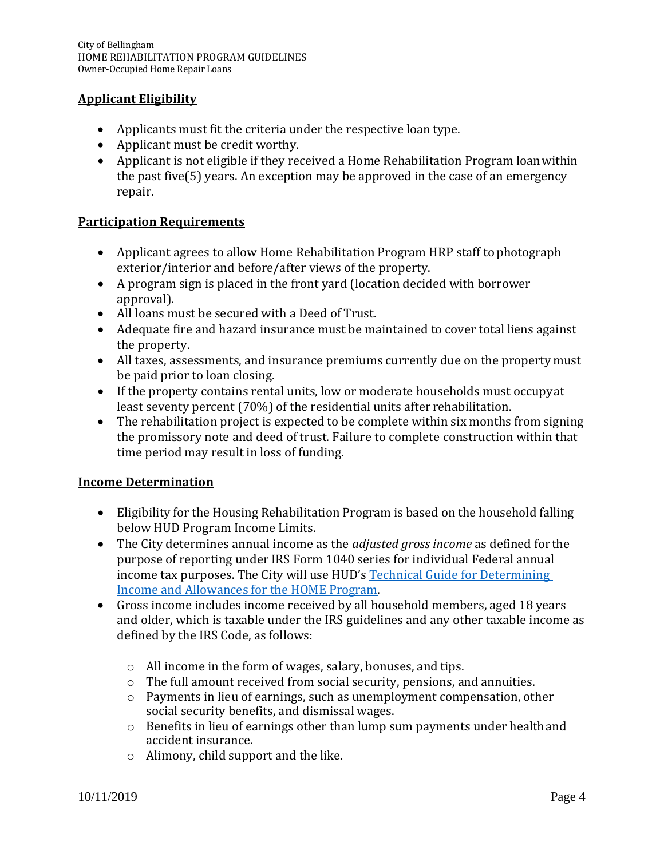## **Applicant Eligibility**

- Applicants must fit the criteria under the respective loan type.
- Applicant must be credit worthy.
- Applicant is not eligible if they received a Home Rehabilitation Program loanwithin the past five(5) years. An exception may be approved in the case of an emergency repair.

## **Participation Requirements**

- Applicant agrees to allow Home Rehabilitation Program HRP staff to photograph exterior/interior and before/after views of the property.
- A program sign is placed in the front yard (location decided with borrower approval).
- All loans must be secured with a Deed of Trust.
- Adequate fire and hazard insurance must be maintained to cover total liens against the property.
- All taxes, assessments, and insurance premiums currently due on the property must be paid prior to loan closing.
- If the property contains rental units, low or moderate households must occupyat least seventy percent (70%) of the residential units after rehabilitation.
- The rehabilitation project is expected to be complete within six months from signing the promissory note and deed of trust. Failure to complete construction within that time period may result in loss of funding.

#### **Income Determination**

- Eligibility for the Housing Rehabilitation Program is based on the household falling below HUD Program Income Limits.
- The City determines annual income as the *adjusted gross income* as defined forthe purpose of reporting under IRS Form 1040 series for individual Federal annual income tax purposes. The City will use HUD's [Technical Guide for Determining](https://www.hudexchange.info/resource/786/technical-guide-for-determining-income-and-allowances-for-the-home-program/) [Income and Allowances for the HOME](https://www.hudexchange.info/resource/786/technical-guide-for-determining-income-and-allowances-for-the-home-program/) Program.
- Gross income includes income received by all household members, aged 18 years and older, which is taxable under the IRS guidelines and any other taxable income as defined by the IRS Code, as follows:
	- o All income in the form of wages, salary, bonuses, and tips.
	- o The full amount received from social security, pensions, and annuities.
	- o Payments in lieu of earnings, such as unemployment compensation, other social security benefits, and dismissal wages.
	- o Benefits in lieu of earnings other than lump sum payments under healthand accident insurance.
	- o Alimony, child support and the like.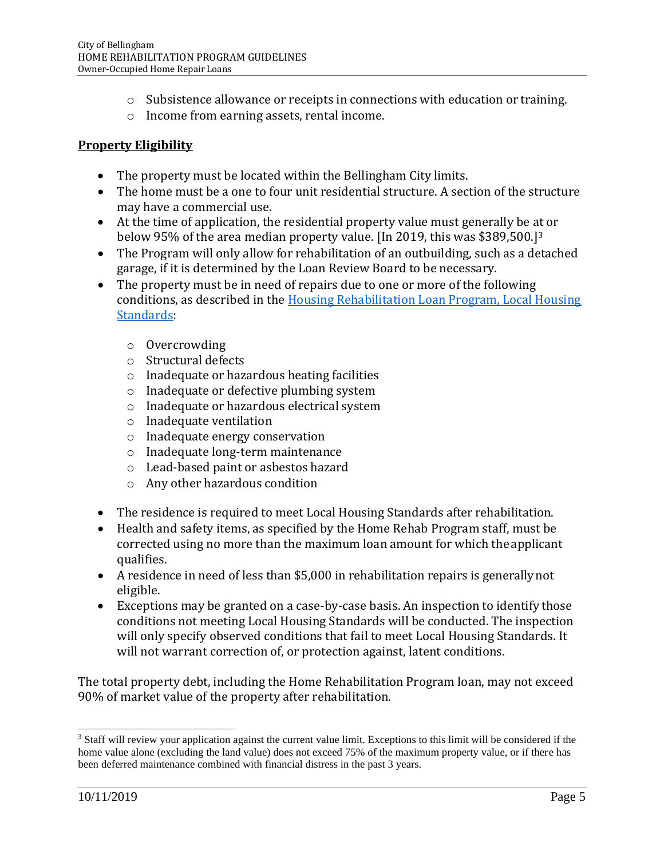- o Subsistence allowance or receipts in connections with education or training.
- o Income from earning assets, rental income.

## **Property Eligibility**

- The property must be located within the Bellingham City limits.
- The home must be a one to four unit residential structure. A section of the structure may have a commercial use.
- At the time of application, the residential property value must generally be at or below 95% of the area median property value. [In 2019, this was \$389,500.]<sup>3</sup>
- The Program will only allow for rehabilitation of an outbuilding, such as a detached garage, if it is determined by the Loan Review Board to be necessary.
- The property must be in need of repairs due to one or more of the following conditions, as described in the [Housing Rehabilitation Loan Program, Local Housing](http://cob.org/hrp) [Standards:](http://cob.org/hrp)
	- o Overcrowding
	- o Structural defects
	- o Inadequate or hazardous heating facilities
	- o Inadequate or defective plumbing system
	- o Inadequate or hazardous electrical system
	- o Inadequate ventilation
	- o Inadequate energy conservation
	- o Inadequate long-term maintenance
	- o Lead-based paint or asbestos hazard
	- o Any other hazardous condition
- The residence is required to meet Local Housing Standards after rehabilitation.
- Health and safety items, as specified by the Home Rehab Program staff, must be corrected using no more than the maximum loan amount for which theapplicant qualifies.
- A residence in need of less than \$5,000 in rehabilitation repairs is generallynot eligible.
- Exceptions may be granted on a case-by-case basis. An inspection to identify those conditions not meeting Local Housing Standards will be conducted. The inspection will only specify observed conditions that fail to meet Local Housing Standards. It will not warrant correction of, or protection against, latent conditions.

The total property debt, including the Home Rehabilitation Program loan, may not exceed 90% of market value of the property after rehabilitation.

<sup>&</sup>lt;sup>3</sup> Staff will review your application against the current value limit. Exceptions to this limit will be considered if the home value alone (excluding the land value) does not exceed 75% of the maximum property value, or if there has been deferred maintenance combined with financial distress in the past 3 years.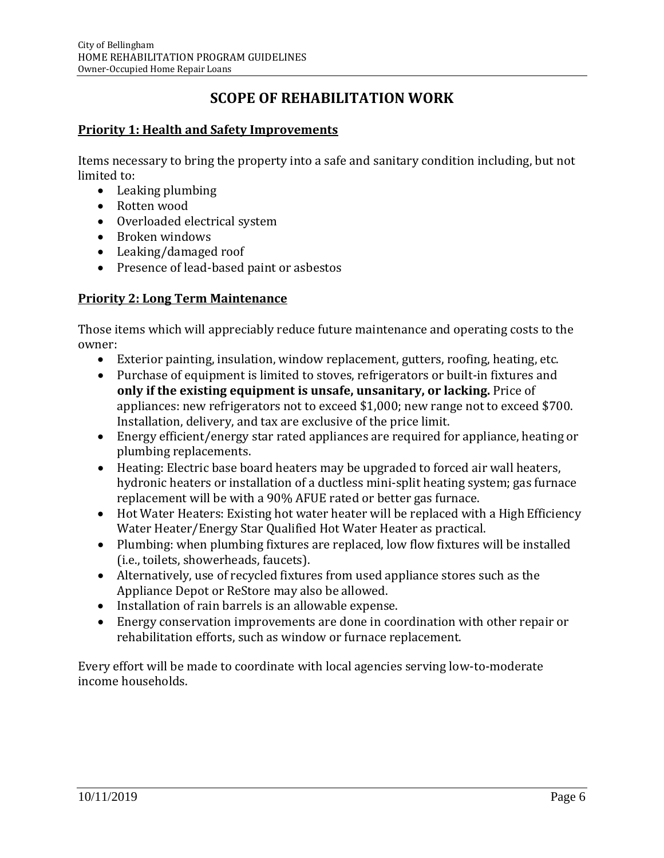# **SCOPE OF REHABILITATION WORK**

## **Priority 1: Health and Safety Improvements**

Items necessary to bring the property into a safe and sanitary condition including, but not limited to:

- Leaking plumbing
- Rotten wood
- Overloaded electrical system
- Broken windows
- Leaking/damaged roof
- Presence of lead-based paint or asbestos

#### **Priority 2: Long Term Maintenance**

Those items which will appreciably reduce future maintenance and operating costs to the owner:

- Exterior painting, insulation, window replacement, gutters, roofing, heating, etc.
- Purchase of equipment is limited to stoves, refrigerators or built-in fixtures and **only if the existing equipment is unsafe, unsanitary, or lacking.** Price of appliances: new refrigerators not to exceed \$1,000; new range not to exceed \$700. Installation, delivery, and tax are exclusive of the price limit.
- Energy efficient/energy star rated appliances are required for appliance, heating or plumbing replacements.
- Heating: Electric base board heaters may be upgraded to forced air wall heaters, hydronic heaters or installation of a ductless mini-split heating system; gas furnace replacement will be with a 90% AFUE rated or better gas furnace.
- Hot Water Heaters: Existing hot water heater will be replaced with a High Efficiency Water Heater/Energy Star Qualified Hot Water Heater as practical.
- Plumbing: when plumbing fixtures are replaced, low flow fixtures will be installed (i.e., toilets, showerheads, faucets).
- Alternatively, use of recycled fixtures from used appliance stores such as the Appliance Depot or ReStore may also be allowed.
- Installation of rain barrels is an allowable expense.
- Energy conservation improvements are done in coordination with other repair or rehabilitation efforts, such as window or furnace replacement.

Every effort will be made to coordinate with local agencies serving low-to-moderate income households.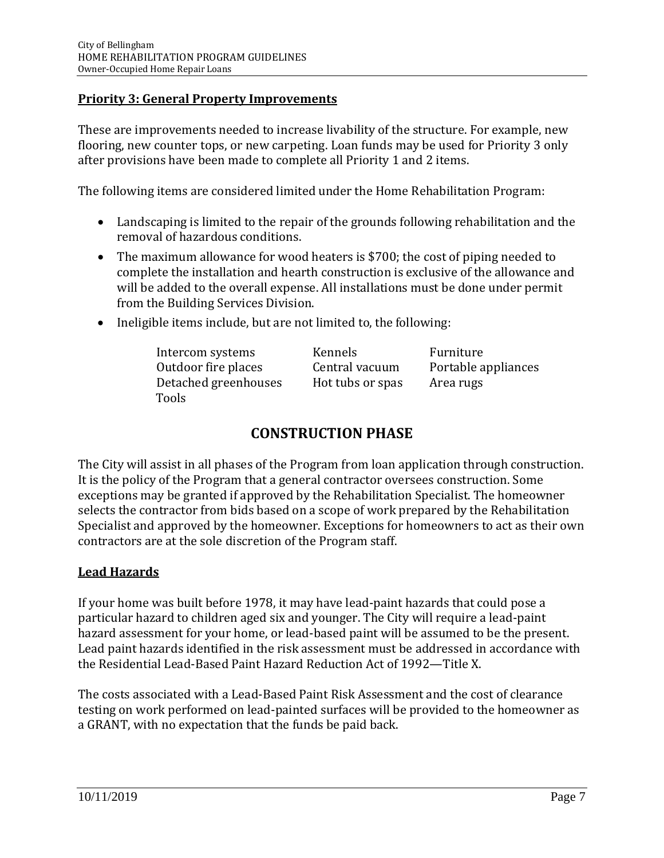## **Priority 3: General Property Improvements**

These are improvements needed to increase livability of the structure. For example, new flooring, new counter tops, or new carpeting. Loan funds may be used for Priority 3 only after provisions have been made to complete all Priority 1 and 2 items.

The following items are considered limited under the Home Rehabilitation Program:

- Landscaping is limited to the repair of the grounds following rehabilitation and the removal of hazardous conditions.
- The maximum allowance for wood heaters is \$700; the cost of piping needed to complete the installation and hearth construction is exclusive of the allowance and will be added to the overall expense. All installations must be done under permit from the Building Services Division.
- Ineligible items include, but are not limited to, the following:

| Intercom systems     | Kennels          | Furniture           |
|----------------------|------------------|---------------------|
| Outdoor fire places  | Central vacuum   | Portable appliances |
| Detached greenhouses | Hot tubs or spas | Area rugs           |
| Tools                |                  |                     |

# **CONSTRUCTION PHASE**

The City will assist in all phases of the Program from loan application through construction. It is the policy of the Program that a general contractor oversees construction. Some exceptions may be granted if approved by the Rehabilitation Specialist. The homeowner selects the contractor from bids based on a scope of work prepared by the Rehabilitation Specialist and approved by the homeowner. Exceptions for homeowners to act as their own contractors are at the sole discretion of the Program staff.

## **Lead Hazards**

If your home was built before 1978, it may have lead-paint hazards that could pose a particular hazard to children aged six and younger. The City will require a lead-paint hazard assessment for your home, or lead-based paint will be assumed to be the present. Lead paint hazards identified in the risk assessment must be addressed in accordance with the Residential Lead-Based Paint Hazard Reduction Act of 1992—Title X.

The costs associated with a Lead-Based Paint Risk Assessment and the cost of clearance testing on work performed on lead-painted surfaces will be provided to the homeowner as a GRANT, with no expectation that the funds be paid back.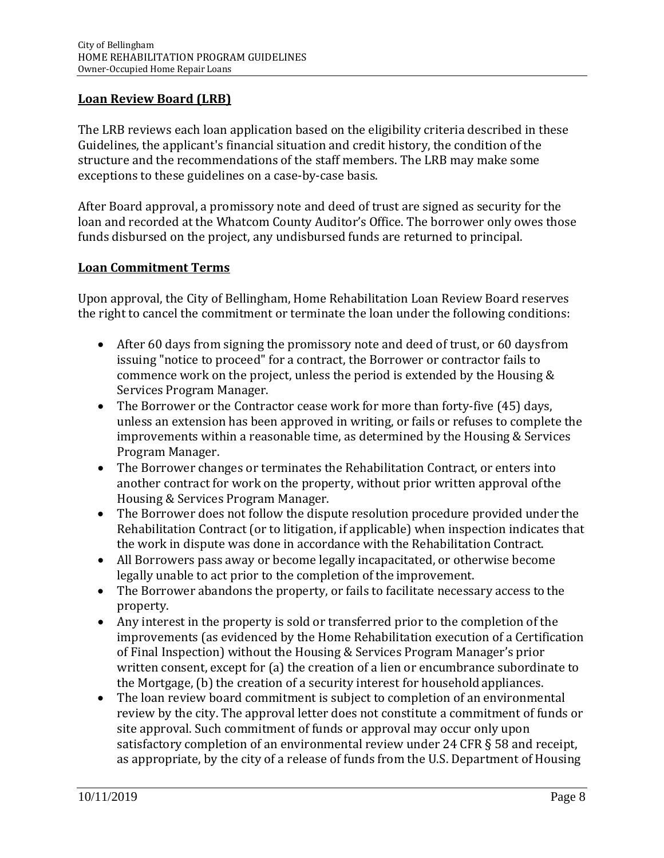## **Loan Review Board (LRB)**

The LRB reviews each loan application based on the eligibility criteria described in these Guidelines, the applicant's financial situation and credit history, the condition of the structure and the recommendations of the staff members. The LRB may make some exceptions to these guidelines on a case-by-case basis.

After Board approval, a promissory note and deed of trust are signed as security for the loan and recorded at the Whatcom County Auditor's Office. The borrower only owes those funds disbursed on the project, any undisbursed funds are returned to principal.

## **Loan Commitment Terms**

Upon approval, the City of Bellingham, Home Rehabilitation Loan Review Board reserves the right to cancel the commitment or terminate the loan under the following conditions:

- After 60 days from signing the promissory note and deed of trust, or 60 days from issuing "notice to proceed" for a contract, the Borrower or contractor fails to commence work on the project, unless the period is extended by the Housing & Services Program Manager.
- The Borrower or the Contractor cease work for more than forty-five (45) days, unless an extension has been approved in writing, or fails or refuses to complete the improvements within a reasonable time, as determined by the Housing & Services Program Manager.
- The Borrower changes or terminates the Rehabilitation Contract, or enters into another contract for work on the property, without prior written approval ofthe Housing & Services Program Manager.
- The Borrower does not follow the dispute resolution procedure provided under the Rehabilitation Contract (or to litigation, if applicable) when inspection indicates that the work in dispute was done in accordance with the Rehabilitation Contract.
- All Borrowers pass away or become legally incapacitated, or otherwise become legally unable to act prior to the completion of the improvement.
- The Borrower abandons the property, or fails to facilitate necessary access to the property.
- Any interest in the property is sold or transferred prior to the completion of the improvements (as evidenced by the Home Rehabilitation execution of a Certification of Final Inspection) without the Housing & Services Program Manager's prior written consent, except for (a) the creation of a lien or encumbrance subordinate to the Mortgage, (b) the creation of a security interest for household appliances.
- The loan review board commitment is subject to completion of an environmental review by the city. The approval letter does not constitute a commitment of funds or site approval. Such commitment of funds or approval may occur only upon satisfactory completion of an environmental review under 24 CFR § 58 and receipt, as appropriate, by the city of a release of funds from the U.S. Department of Housing